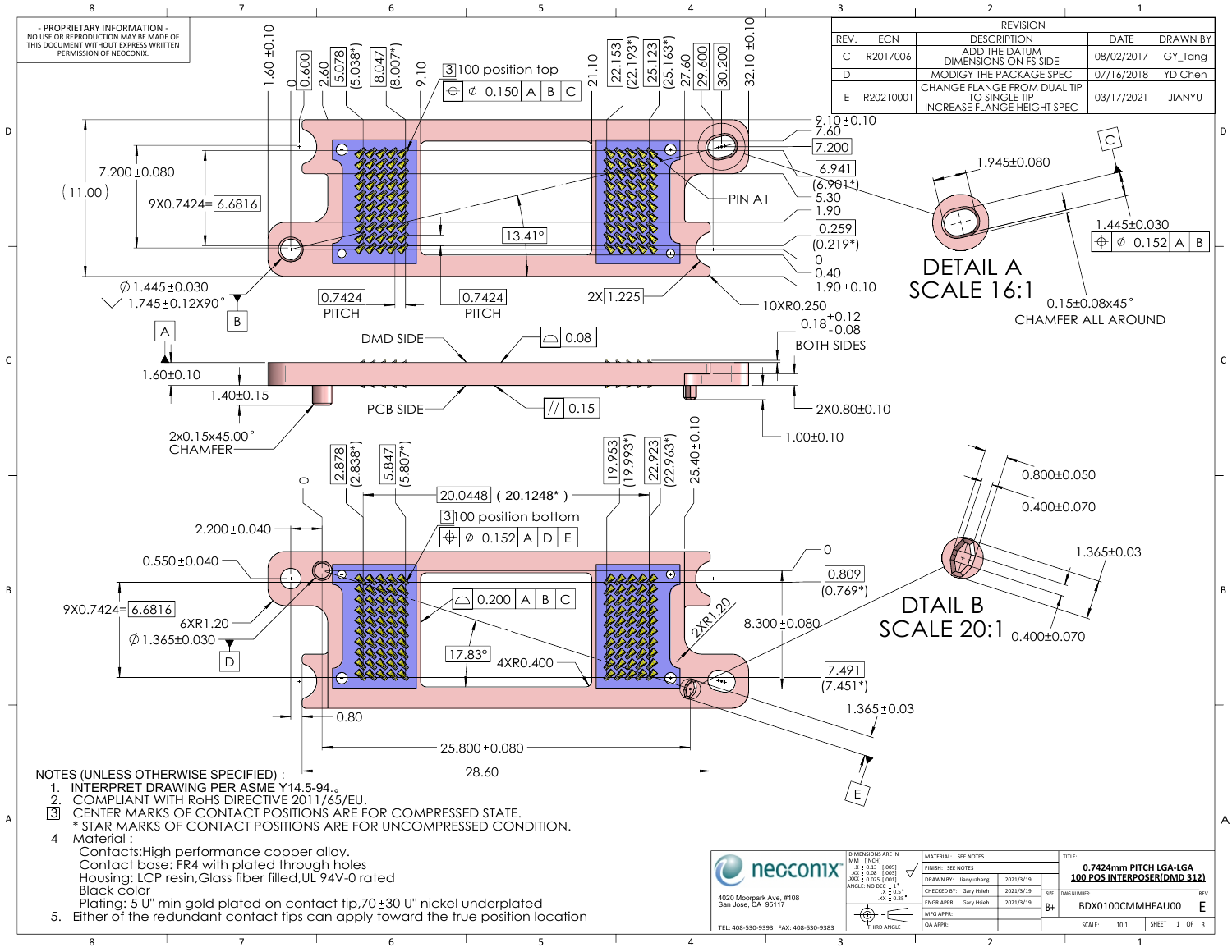

8 7 7 6 7 5 7 4 7 3 2 2 1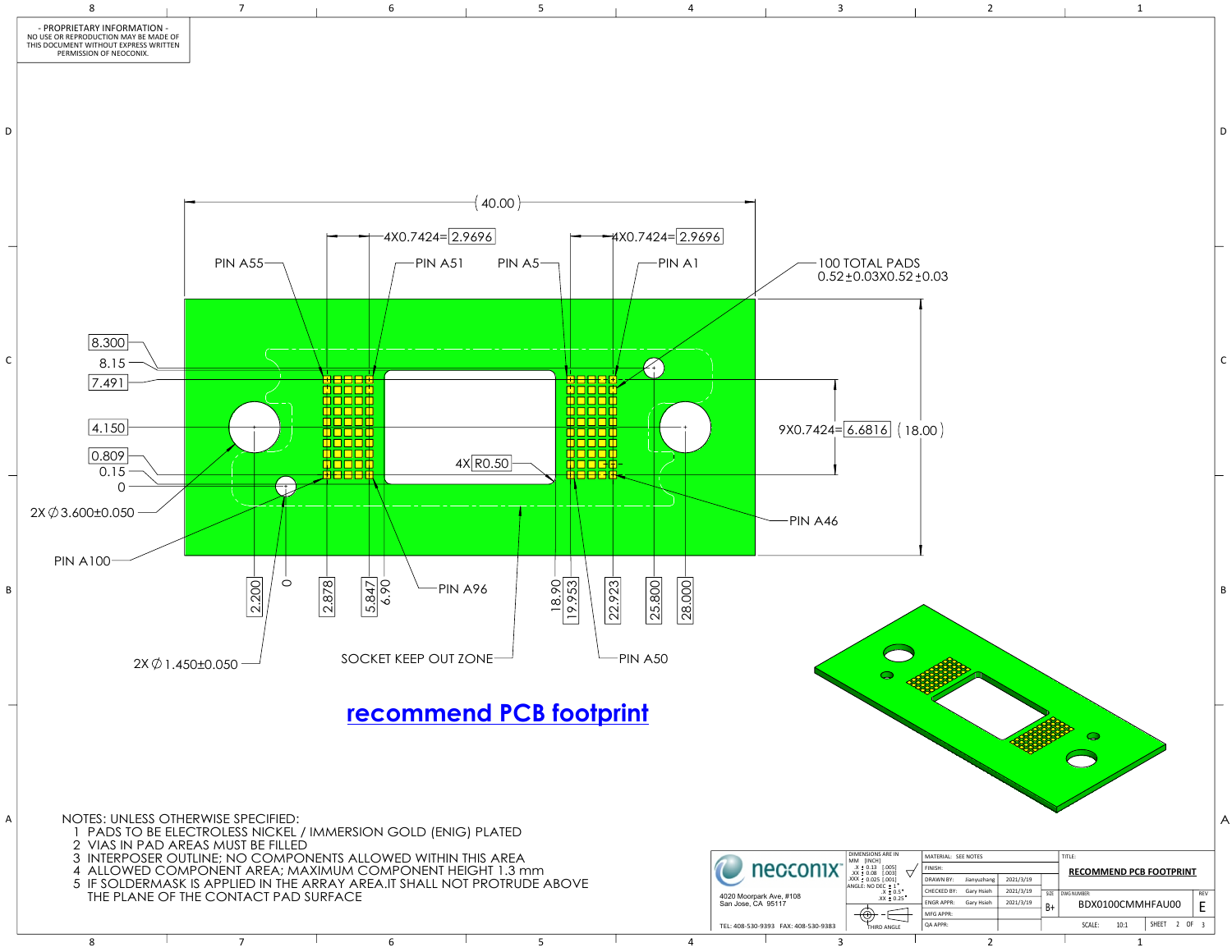

8 7 7 6 7 5 7 4 7 3 2 2 1